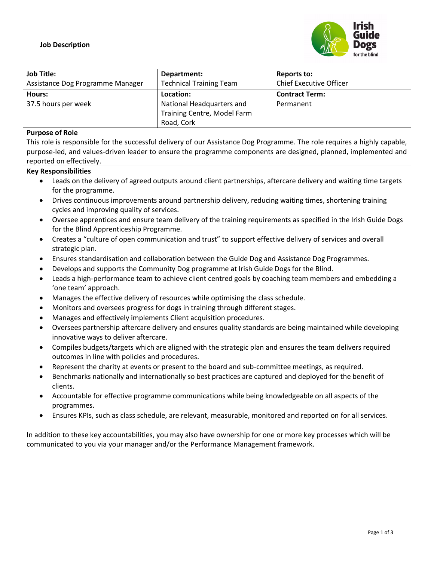

| <b>Job Title:</b>                | Department:                    | Reports to:                    |
|----------------------------------|--------------------------------|--------------------------------|
| Assistance Dog Programme Manager | <b>Technical Training Team</b> | <b>Chief Executive Officer</b> |
| Hours:                           | Location:                      | <b>Contract Term:</b>          |
| 37.5 hours per week              | National Headquarters and      | Permanent                      |
|                                  | Training Centre, Model Farm    |                                |
|                                  | Road, Cork                     |                                |

#### **Purpose of Role**

This role is responsible for the successful delivery of our Assistance Dog Programme. The role requires a highly capable, purpose-led, and values-driven leader to ensure the programme components are designed, planned, implemented and reported on effectively.

#### **Key Responsibilities**

- Leads on the delivery of agreed outputs around client partnerships, aftercare delivery and waiting time targets for the programme.
- Drives continuous improvements around partnership delivery, reducing waiting times, shortening training cycles and improving quality of services.
- Oversee apprentices and ensure team delivery of the training requirements as specified in the Irish Guide Dogs for the Blind Apprenticeship Programme.
- Creates a "culture of open communication and trust" to support effective delivery of services and overall strategic plan.
- Ensures standardisation and collaboration between the Guide Dog and Assistance Dog Programmes.
- Develops and supports the Community Dog programme at Irish Guide Dogs for the Blind.
- Leads a high-performance team to achieve client centred goals by coaching team members and embedding a 'one team' approach.
- Manages the effective delivery of resources while optimising the class schedule.
- Monitors and oversees progress for dogs in training through different stages.
- Manages and effectively implements Client acquisition procedures.
- Oversees partnership aftercare delivery and ensures quality standards are being maintained while developing innovative ways to deliver aftercare.
- Compiles budgets/targets which are aligned with the strategic plan and ensures the team delivers required outcomes in line with policies and procedures.
- Represent the charity at events or present to the board and sub-committee meetings, as required.
- Benchmarks nationally and internationally so best practices are captured and deployed for the benefit of clients.
- Accountable for effective programme communications while being knowledgeable on all aspects of the programmes.
- Ensures KPIs, such as class schedule, are relevant, measurable, monitored and reported on for all services.

In addition to these key accountabilities, you may also have ownership for one or more key processes which will be communicated to you via your manager and/or the Performance Management framework.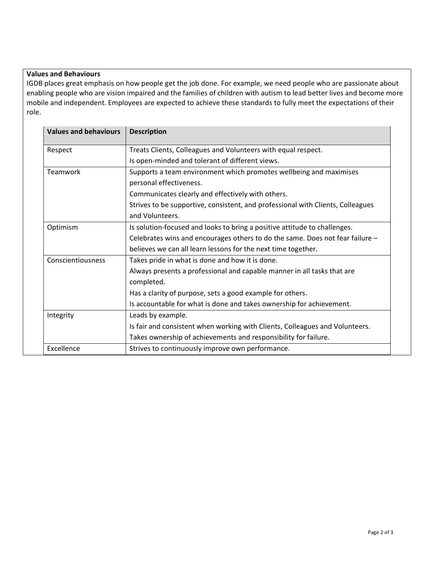# **Values and Behaviours**

IGDB places great emphasis on how people get the job done. For example, we need people who are passionate about enabling people who are vision impaired and the families of children with autism to lead better lives and become more mobile and independent. Employees are expected to achieve these standards to fully meet the expectations of their role.

| <b>Values and behaviours</b>                                   | <b>Description</b>                                                              |  |
|----------------------------------------------------------------|---------------------------------------------------------------------------------|--|
| Respect                                                        | Treats Clients, Colleagues and Volunteers with equal respect.                   |  |
|                                                                | Is open-minded and tolerant of different views.                                 |  |
| Teamwork                                                       | Supports a team environment which promotes wellbeing and maximises              |  |
|                                                                | personal effectiveness.                                                         |  |
|                                                                | Communicates clearly and effectively with others.                               |  |
|                                                                | Strives to be supportive, consistent, and professional with Clients, Colleagues |  |
|                                                                | and Volunteers.                                                                 |  |
| Optimism                                                       | Is solution-focused and looks to bring a positive attitude to challenges.       |  |
|                                                                | Celebrates wins and encourages others to do the same. Does not fear failure -   |  |
|                                                                | believes we can all learn lessons for the next time together.                   |  |
| Conscientiousness                                              | Takes pride in what is done and how it is done.                                 |  |
|                                                                | Always presents a professional and capable manner in all tasks that are         |  |
|                                                                | completed.                                                                      |  |
|                                                                | Has a clarity of purpose, sets a good example for others.                       |  |
|                                                                | Is accountable for what is done and takes ownership for achievement.            |  |
| Integrity                                                      | Leads by example.                                                               |  |
|                                                                | Is fair and consistent when working with Clients, Colleagues and Volunteers.    |  |
|                                                                | Takes ownership of achievements and responsibility for failure.                 |  |
| Excellence<br>Strives to continuously improve own performance. |                                                                                 |  |